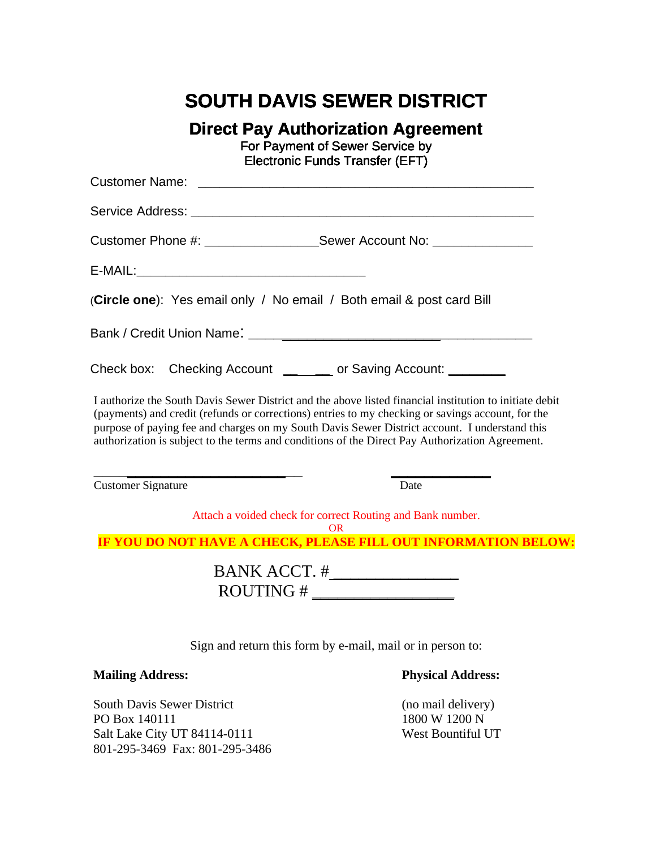# **SOUTH DAVIS SEWER DISTRICT**

**Direct Pay Authorization Agreement**

For Payment of Sewer Service by Service byElectronic Funds Transfer (EFT)

|                                                    | Customer Phone #: ______________________Sewer Account No: ______________________                                                                                                                                                                                                                                                                                                                                 |
|----------------------------------------------------|------------------------------------------------------------------------------------------------------------------------------------------------------------------------------------------------------------------------------------------------------------------------------------------------------------------------------------------------------------------------------------------------------------------|
|                                                    |                                                                                                                                                                                                                                                                                                                                                                                                                  |
|                                                    | (Circle one): Yes email only / No email / Both email & post card Bill                                                                                                                                                                                                                                                                                                                                            |
|                                                    |                                                                                                                                                                                                                                                                                                                                                                                                                  |
|                                                    | Check box: Checking Account ________ or Saving Account: ________                                                                                                                                                                                                                                                                                                                                                 |
|                                                    | I authorize the South Davis Sewer District and the above listed financial institution to initiate debit<br>(payments) and credit (refunds or corrections) entries to my checking or savings account, for the<br>purpose of paying fee and charges on my South Davis Sewer District account. I understand this<br>authorization is subject to the terms and conditions of the Direct Pay Authorization Agreement. |
| <b>Customer Signature</b>                          | Date                                                                                                                                                                                                                                                                                                                                                                                                             |
|                                                    | Attach a voided check for correct Routing and Bank number.                                                                                                                                                                                                                                                                                                                                                       |
|                                                    | OR.<br>IF YOU DO NOT HAVE A CHECK, PLEASE FILL OUT INFORMATION BELOW:                                                                                                                                                                                                                                                                                                                                            |
|                                                    | $ROUTING # \_\_\_\_\_\_\_\_\_\_\_\_\_\_\_\_\_\_\_\_\_\_\_\_\_\_\_\_\_\_\_\_\_\_\_\_$                                                                                                                                                                                                                                                                                                                             |
|                                                    | Sign and return this form by e-mail, mail or in person to:                                                                                                                                                                                                                                                                                                                                                       |
| <b>Mailing Address:</b>                            | <b>Physical Address:</b>                                                                                                                                                                                                                                                                                                                                                                                         |
| <b>South Davis Sewer District</b><br>PO Box 140111 | (no mail delivery)<br>1800 W 1200 N                                                                                                                                                                                                                                                                                                                                                                              |

Salt Lake City UT 84114-0111 West Bountiful UT 801-295-3469 Fax: 801-295-3486